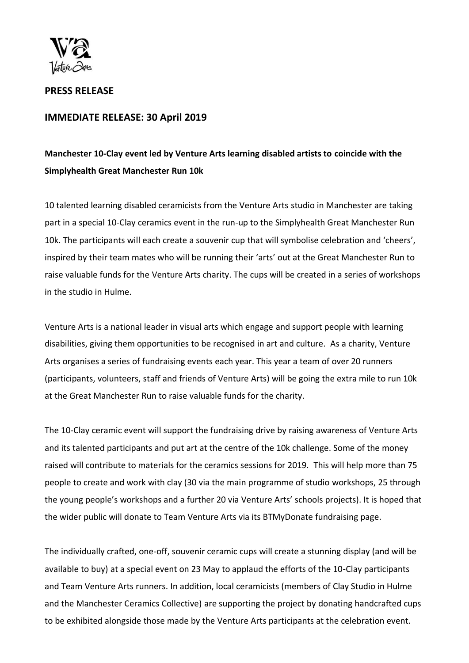

**PRESS RELEASE**

## **IMMEDIATE RELEASE: 30 April 2019**

# **Manchester 10-Clay event led by Venture Arts learning disabled artists to coincide with the Simplyhealth Great Manchester Run 10k**

10 talented learning disabled ceramicists from the Venture Arts studio in Manchester are taking part in a special 10-Clay ceramics event in the run-up to the Simplyhealth Great Manchester Run 10k. The participants will each create a souvenir cup that will symbolise celebration and 'cheers', inspired by their team mates who will be running their 'arts' out at the Great Manchester Run to raise valuable funds for the Venture Arts charity. The cups will be created in a series of workshops in the studio in Hulme.

Venture Arts is a national leader in visual arts which engage and support people with learning disabilities, giving them opportunities to be recognised in art and culture. As a charity, Venture Arts organises a series of fundraising events each year. This year a team of over 20 runners (participants, volunteers, staff and friends of Venture Arts) will be going the extra mile to run 10k at the Great Manchester Run to raise valuable funds for the charity.

The 10-Clay ceramic event will support the fundraising drive by raising awareness of Venture Arts and its talented participants and put art at the centre of the 10k challenge. Some of the money raised will contribute to materials for the ceramics sessions for 2019. This will help more than 75 people to create and work with clay (30 via the main programme of studio workshops, 25 through the young people's workshops and a further 20 via Venture Arts' schools projects). It is hoped that the wider public will donate to Team Venture Arts via its BTMyDonate fundraising page.

The individually crafted, one-off, souvenir ceramic cups will create a stunning display (and will be available to buy) at a special event on 23 May to applaud the efforts of the 10-Clay participants and Team Venture Arts runners. In addition, local ceramicists (members of Clay Studio in Hulme and the Manchester Ceramics Collective) are supporting the project by donating handcrafted cups to be exhibited alongside those made by the Venture Arts participants at the celebration event.